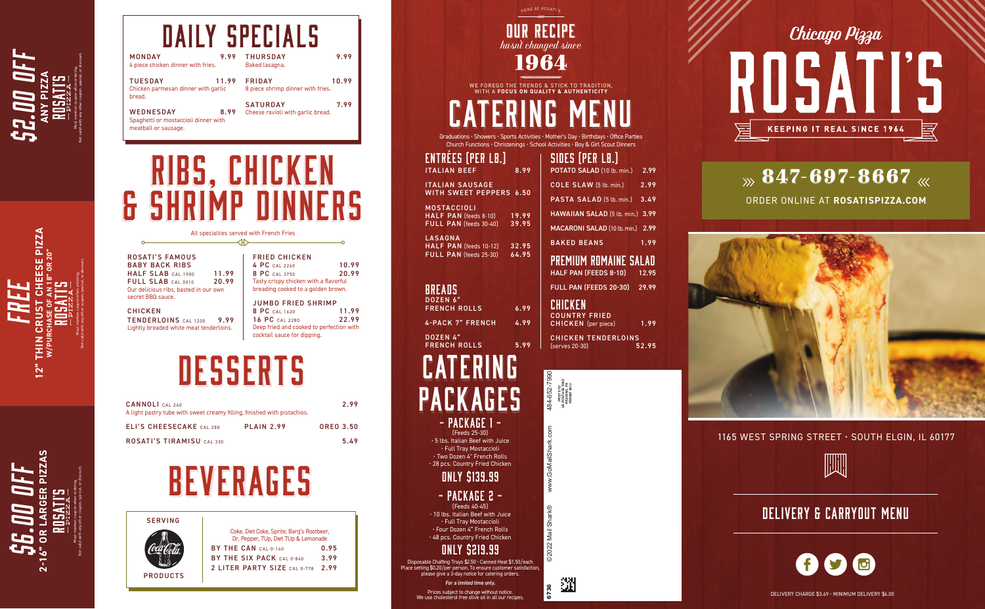ORDER ONLINE AT **ROSATISPIZZA.COM**



1165 WEST SPRING STREET • SOUTH ELGIN, IL 60177



### DELIVERY & CARRYOUT MENU



Graduations • Showers • Sports Activities • Mother's Day • Birthdays • Office Parties Church Functions • Christenings • School Activities • Boy & Girl Scout Dinners

| RÉES (PER LB.)                      |      |
|-------------------------------------|------|
| IAN BEEF                            | 8.99 |
| IAN SAUSAGE<br>I SWEET PEPPERS 6.50 |      |

#### **ITAL WITH**

(Feeds 25-30) • 5 lbs. Italian Beef with Juice • Full Tray Mostaccioli • Two Dozen 4" French Rolls • 28 pcs. Country Fried Chicken

Prices subject to change without notice. We use cholesterol free olive oil in all our recipes.

### ONLY \$139.99

#### - PACKAGE 2 - (Feeds 40-45)

• 10 lbs. Italian Beef with Juice • Full Tray Mostaccioli • Four Dozen 4" French Rolls • 48 pcs. Country Fried Chicken

### ONLY \$219.99

Disposable Chaffing Trays \$2.50 • Canned Heat \$1.50/each Place setting \$0.20/per person. To ensure customer satisfaction, please give a 3-day notice for catering orders.

#### For a limited time only.

MOSTACCIOLI HALF PAN (feeds 8-10) 19.99<br>FULL PAN (feeds 30-40) 39.95 FULL PAN (feeds 30-40)

| <b>SERVING</b>  |                                                                                   |       |
|-----------------|-----------------------------------------------------------------------------------|-------|
|                 | Coke, Diet Coke, Sprite, Barg's Rootbeer,<br>Dr. Pepper, 7Up, Diet 7Up & Lemonade |       |
|                 | BY THE CAN CAL 0-140                                                              | በ. 95 |
|                 | BY THE SIX PACK CAL 0-840                                                         | 3.99  |
|                 | 2 LITER PARTY SIZE CAL 0-778                                                      | 2.99  |
| <b>PRODUCTS</b> |                                                                                   |       |
|                 |                                                                                   |       |

| <b>CANNOLI</b> CAL 240<br>A light pastry tube with sweet creamy filling, finished with pistachios. |                   | 2.99             |
|----------------------------------------------------------------------------------------------------|-------------------|------------------|
| <b>ELI'S CHEESECAKE</b> CAL 280                                                                    | <b>PLAIN 2.99</b> | <b>OREO 3.50</b> |
| <b>ROSATI'S TIRAMISU CAL 330</b>                                                                   |                   | 5.49             |

## **BEVERAGES**

TENDERLOINS CAL 1200 9.99 Lightly breaded white meat tenderloins.



JUMBO FRIED SHRIMP<br>8 PC CAL 1620 11.99 8 PC CAL 1620 11.99<br>16 PC CAL 2280 22.99 16 PC CAL 2280 Deep fried and cooked to perfection with cocktail sauce for dipping.

## DESSERTS

| MONDAY<br>4 piece chicken dinner with fries.                                     | 9.99  | <b>THURSDAY</b><br>Baked lasagna.                    | 9.99  |
|----------------------------------------------------------------------------------|-------|------------------------------------------------------|-------|
| <b>TUESDAY</b><br>Chicken parmesan dinner with garlic<br>bread.                  | 11.99 | <b>FRIDAY</b><br>8 piece shrimp dinner with fries.   | 10.99 |
| <b>WEDNESDAY</b><br>Spaghetti or mostaccioli dinner with<br>meatball or sausage. | 8.99  | <b>SATURDAY</b><br>Cheese ravioli with garlic bread. | 7.99  |

### *hasn't changed since* 1964

### DAILY SPECIALS

LASAGNA HALF PAN (feeds 10-12) 32.95 FULL PAN (feeds 25-30) 64.95

### **BREADS**

**ENT ITAL** 

| DOZEN 6"<br><b>FRENCH ROLLS</b> | 6.99 |
|---------------------------------|------|
|                                 |      |
| 4-PACK 7" FRENCH                | 4.99 |

DOZEN 4" FRENCH ROLLS 5.99

#### SIDES (PER LB.) POTATO SALAD (10 lb. min.) 2.99

| COLE SLAW (5 lb. min.)                                        | 2.99  |
|---------------------------------------------------------------|-------|
| <b>PASTA SALAD (5 lb. min.)</b>                               | 3.49  |
| HAWAIIAN SALAD (5 lb. min.) 3.99                              |       |
| <b>MACARONI SALAD (10 lb. min.)</b>                           | 2.99  |
| <b>BAKED BEANS</b>                                            | 1.99  |
| PREMIUM ROMAINE SALAD<br><b>HALF PAN (FEEDS 8-10)</b>         | 12.95 |
| <b>FULL PAN (FEEDS 20-30) 29.99</b>                           |       |
| CHICKEN<br><b>COUNTRY FRIED</b><br><b>CHICKEN</b> (per piece) | 1.99  |
| <b>CHICKEN TENDERLOINS</b>                                    | 52.95 |
| (serves 20-30)                                                |       |

### RIBS, CHICKEN & SHRIMP DINNERS RIBS, CHICKEN & SHRIMP DINNERS

| <b>ROSATI'S FAMOUS</b><br><b>BABY BACK RIBS</b> |       |
|-------------------------------------------------|-------|
| HALF SLAB CAL 1900                              | 11.99 |
| FULL SLAB CAL 3010                              | 20.99 |
| Our delicious ribs, basted in our own           |       |
| secret BBQ sauce.                               |       |

#### CHICKEN

| <b>FRIED CHICKEN</b>                  |       |
|---------------------------------------|-------|
| 4 PC CAL 2260                         | 10.99 |
| 8 PC CAL 3750                         | 20.99 |
| Tasty crispy chicken with a flavorful |       |
| breading cooked to a golden brown.    |       |
|                                       |       |

All specialties served with French Fries

DELIVERY CHARGE \$3.49 • MINIMUM DELIVERY \$6.00

WE FOREGO THE TRENDS & STICK TO TRADITION, WITH A **FOCUS ON QUALITY & AUTHENTICITY**

## CATERING MENU

### Must mention coupon when ordering. \$2.00 OFF Not valid with any other coupon, special, or discount. **ANY PIZZA**

Must mention coupon when ordering. Not valid with any other coupon, special, or discount.

FREE

**12" THIN CRUST CHEESE PIZZA W/PURCHASE OF AN 18" OR 20"**

Must mention coupon when ordering.

\$6.00 OFF

Not valid with any other coupon, special, or discount.

**2-16" OR LARGER PIZZAS**





翅



### $\gg$  847-697-8667  $\ll$